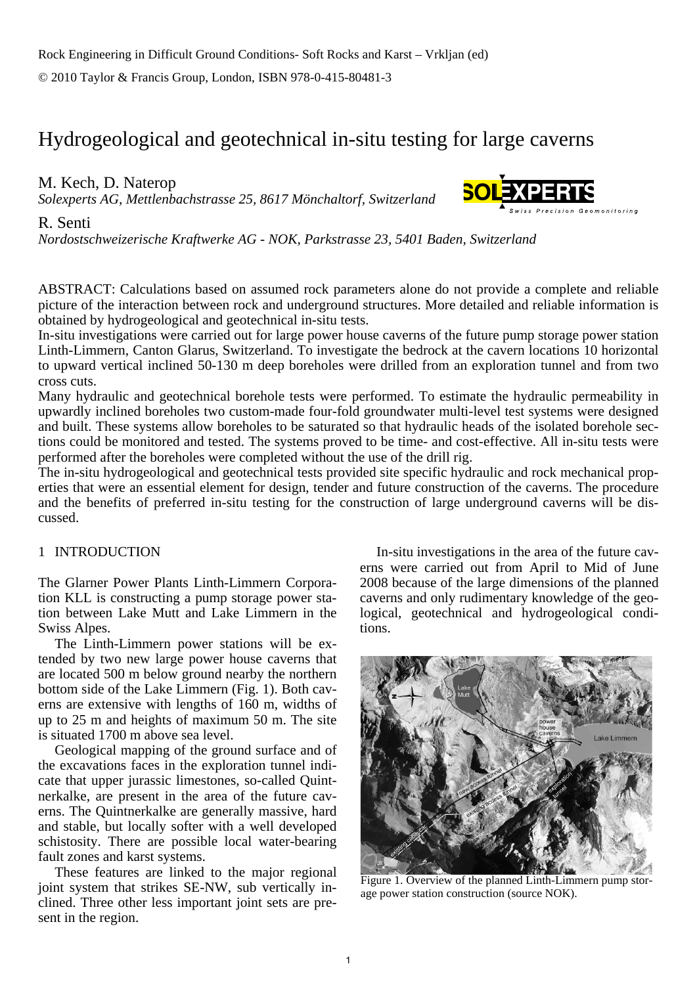# Hydrogeological and geotechnical in-situ testing for large caverns

M. Kech, D. Naterop *Solexperts AG, Mettlenbachstrasse 25, 8617 Mönchaltorf, Switzerland* 



## R. Senti

*Nordostschweizerische Kraftwerke AG - NOK, Parkstrasse 23, 5401 Baden, Switzerland* 

ABSTRACT: Calculations based on assumed rock parameters alone do not provide a complete and reliable picture of the interaction between rock and underground structures. More detailed and reliable information is obtained by hydrogeological and geotechnical in-situ tests.

In-situ investigations were carried out for large power house caverns of the future pump storage power station Linth-Limmern, Canton Glarus, Switzerland. To investigate the bedrock at the cavern locations 10 horizontal to upward vertical inclined 50-130 m deep boreholes were drilled from an exploration tunnel and from two cross cuts.

Many hydraulic and geotechnical borehole tests were performed. To estimate the hydraulic permeability in upwardly inclined boreholes two custom-made four-fold groundwater multi-level test systems were designed and built. These systems allow boreholes to be saturated so that hydraulic heads of the isolated borehole sections could be monitored and tested. The systems proved to be time- and cost-effective. All in-situ tests were performed after the boreholes were completed without the use of the drill rig.

The in-situ hydrogeological and geotechnical tests provided site specific hydraulic and rock mechanical properties that were an essential element for design, tender and future construction of the caverns. The procedure and the benefits of preferred in-situ testing for the construction of large underground caverns will be discussed.

## 1 INTRODUCTION

The Glarner Power Plants Linth-Limmern Corporation KLL is constructing a pump storage power station between Lake Mutt and Lake Limmern in the Swiss Alpes.

The Linth-Limmern power stations will be extended by two new large power house caverns that are located 500 m below ground nearby the northern bottom side of the Lake Limmern (Fig. 1). Both caverns are extensive with lengths of 160 m, widths of up to 25 m and heights of maximum 50 m. The site is situated 1700 m above sea level.

Geological mapping of the ground surface and of the excavations faces in the exploration tunnel indicate that upper jurassic limestones, so-called Quintnerkalke, are present in the area of the future caverns. The Quintnerkalke are generally massive, hard and stable, but locally softer with a well developed schistosity. There are possible local water-bearing fault zones and karst systems.

These features are linked to the major regional joint system that strikes SE-NW, sub vertically inclined. Three other less important joint sets are present in the region.

In-situ investigations in the area of the future caverns were carried out from April to Mid of June 2008 because of the large dimensions of the planned caverns and only rudimentary knowledge of the geological, geotechnical and hydrogeological conditions.



Figure 1. Overview of the planned Linth-Limmern pump storage power station construction (source NOK).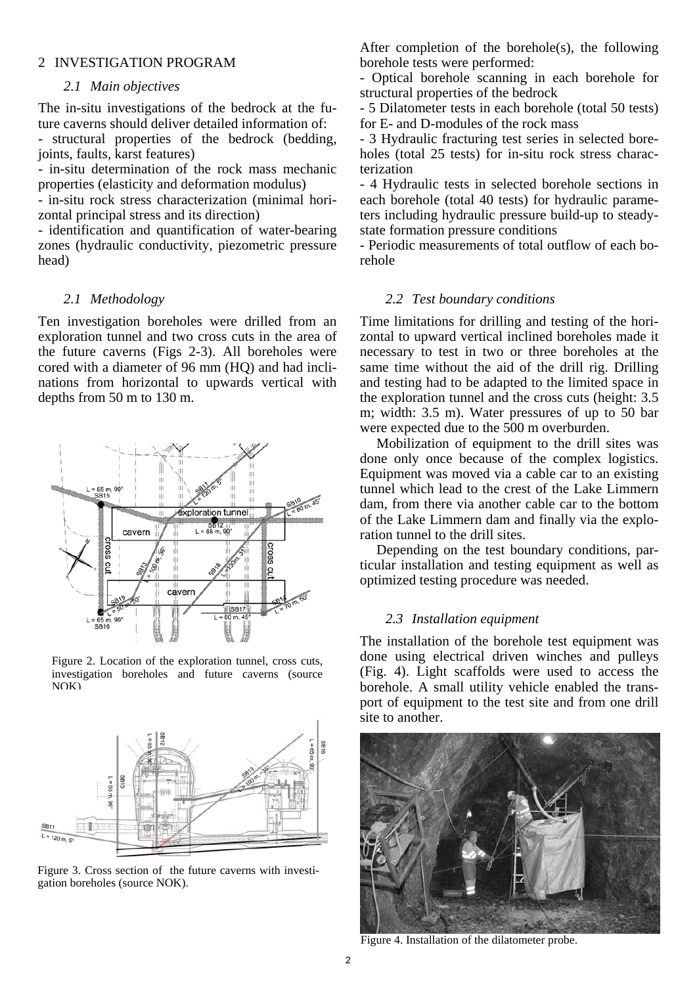## 2 INVESTIGATION PROGRAM

## *2.1 Main objectives*

The in-situ investigations of the bedrock at the future caverns should deliver detailed information of:

- structural properties of the bedrock (bedding, joints, faults, karst features)

- in-situ determination of the rock mass mechanic properties (elasticity and deformation modulus)

- in-situ rock stress characterization (minimal horizontal principal stress and its direction)

- identification and quantification of water-bearing zones (hydraulic conductivity, piezometric pressure head)

#### *2.1 Methodology*

Ten investigation boreholes were drilled from an exploration tunnel and two cross cuts in the area of the future caverns (Figs 2-3). All boreholes were cored with a diameter of 96 mm (HQ) and had inclinations from horizontal to upwards vertical with depths from 50 m to 130 m.



Figure 2. Location of the exploration tunnel, cross cuts, investigation boreholes and future caverns (source NOK)



Figure 3. Cross section of the future caverns with investigation boreholes (source NOK).

After completion of the borehole(s), the following borehole tests were performed:

- Optical borehole scanning in each borehole for structural properties of the bedrock

- 5 Dilatometer tests in each borehole (total 50 tests) for E- and D-modules of the rock mass

- 3 Hydraulic fracturing test series in selected boreholes (total 25 tests) for in-situ rock stress characterization

- 4 Hydraulic tests in selected borehole sections in each borehole (total 40 tests) for hydraulic parameters including hydraulic pressure build-up to steadystate formation pressure conditions

- Periodic measurements of total outflow of each borehole

#### *2.2 Test boundary conditions*

Time limitations for drilling and testing of the horizontal to upward vertical inclined boreholes made it necessary to test in two or three boreholes at the same time without the aid of the drill rig. Drilling and testing had to be adapted to the limited space in the exploration tunnel and the cross cuts (height: 3.5 m; width: 3.5 m). Water pressures of up to 50 bar were expected due to the 500 m overburden.

Mobilization of equipment to the drill sites was done only once because of the complex logistics. Equipment was moved via a cable car to an existing tunnel which lead to the crest of the Lake Limmern dam, from there via another cable car to the bottom of the Lake Limmern dam and finally via the exploration tunnel to the drill sites.

Depending on the test boundary conditions, particular installation and testing equipment as well as optimized testing procedure was needed.

#### *2.3 Installation equipment*

The installation of the borehole test equipment was done using electrical driven winches and pulleys (Fig. 4). Light scaffolds were used to access the borehole. A small utility vehicle enabled the transport of equipment to the test site and from one drill site to another.



Figure 4. Installation of the dilatometer probe.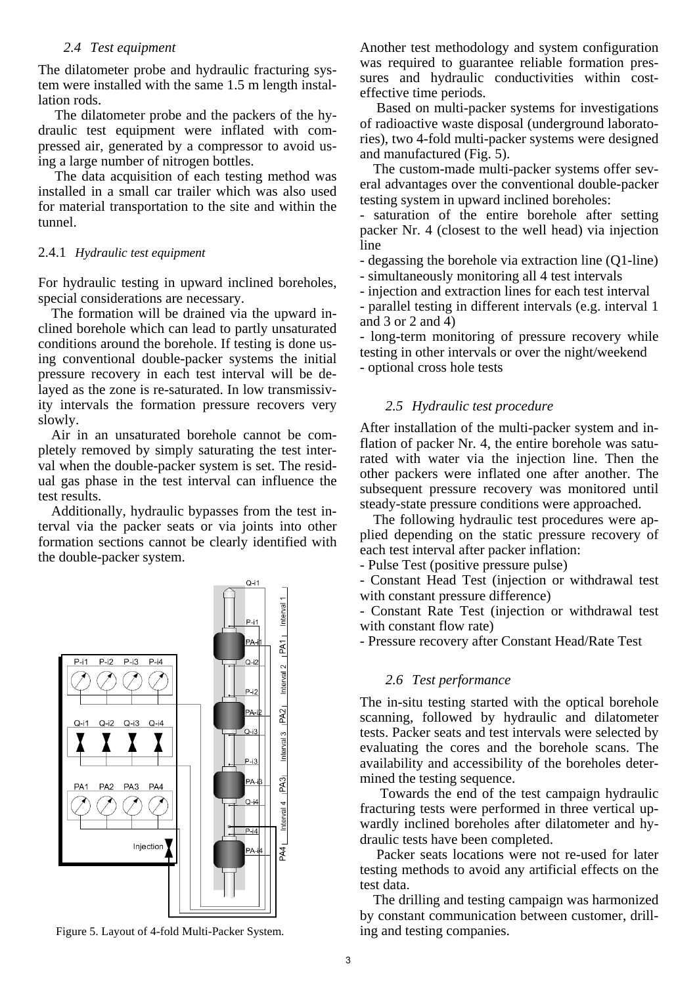## *2.4 Test equipment*

The dilatometer probe and hydraulic fracturing system were installed with the same 1.5 m length installation rods.

The dilatometer probe and the packers of the hydraulic test equipment were inflated with compressed air, generated by a compressor to avoid using a large number of nitrogen bottles.

The data acquisition of each testing method was installed in a small car trailer which was also used for material transportation to the site and within the tunnel.

## 2.4.1 *Hydraulic test equipment*

For hydraulic testing in upward inclined boreholes, special considerations are necessary.

The formation will be drained via the upward inclined borehole which can lead to partly unsaturated conditions around the borehole. If testing is done using conventional double-packer systems the initial pressure recovery in each test interval will be delayed as the zone is re-saturated. In low transmissivity intervals the formation pressure recovers very slowly.

Air in an unsaturated borehole cannot be completely removed by simply saturating the test interval when the double-packer system is set. The residual gas phase in the test interval can influence the test results.

Additionally, hydraulic bypasses from the test interval via the packer seats or via joints into other formation sections cannot be clearly identified with the double-packer system.



Figure 5. Layout of 4-fold Multi-Packer System. ing and testing companies.

Another test methodology and system configuration was required to guarantee reliable formation pressures and hydraulic conductivities within costeffective time periods.

Based on multi-packer systems for investigations of radioactive waste disposal (underground laboratories), two 4-fold multi-packer systems were designed and manufactured (Fig. 5).

The custom-made multi-packer systems offer several advantages over the conventional double-packer testing system in upward inclined boreholes:

- saturation of the entire borehole after setting packer Nr. 4 (closest to the well head) via injection line

- degassing the borehole via extraction line (Q1-line)

- simultaneously monitoring all 4 test intervals

- injection and extraction lines for each test interval

- parallel testing in different intervals (e.g. interval 1 and 3 or 2 and 4)

- long-term monitoring of pressure recovery while testing in other intervals or over the night/weekend - optional cross hole tests

## *2.5 Hydraulic test procedure*

After installation of the multi-packer system and inflation of packer Nr. 4, the entire borehole was saturated with water via the injection line. Then the other packers were inflated one after another. The subsequent pressure recovery was monitored until steady-state pressure conditions were approached.

The following hydraulic test procedures were applied depending on the static pressure recovery of each test interval after packer inflation:

- Pulse Test (positive pressure pulse)

- Constant Head Test (injection or withdrawal test with constant pressure difference)

- Constant Rate Test (injection or withdrawal test with constant flow rate)

- Pressure recovery after Constant Head/Rate Test

## *2.6 Test performance*

The in-situ testing started with the optical borehole scanning, followed by hydraulic and dilatometer tests. Packer seats and test intervals were selected by evaluating the cores and the borehole scans. The availability and accessibility of the boreholes determined the testing sequence.

 Towards the end of the test campaign hydraulic fracturing tests were performed in three vertical upwardly inclined boreholes after dilatometer and hydraulic tests have been completed.

Packer seats locations were not re-used for later testing methods to avoid any artificial effects on the test data.

The drilling and testing campaign was harmonized by constant communication between customer, drill-